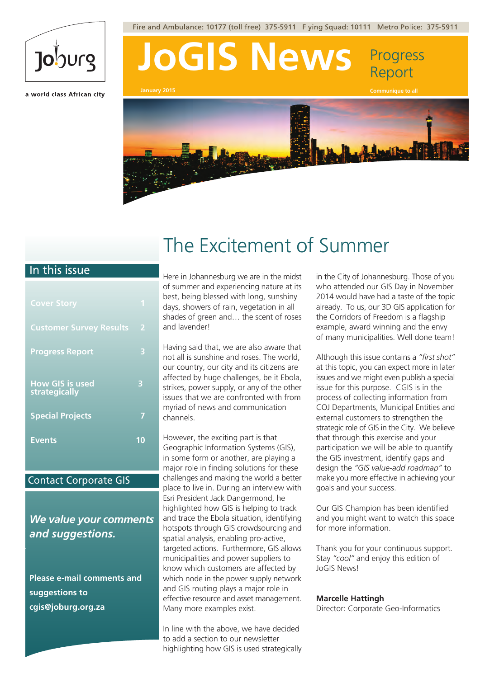# Joburg

a world class African city

Here in Johannesburg we are in the midst of summer and experiencing nature at its best, being blessed with long, sunshiny days, showers of rain, vegetation in all shades of green and… the scent of roses and lavender!

Having said that, we are also aware that not all is sunshine and roses. The world, our country, our city and its citizens are affected by huge challenges, be it Ebola, strikes, power supply, or any of the other issues that we are confronted with from myriad of news and communication channels.

However, the exciting part is that Geographic Information Systems (GIS), in some form or another, are playing a major role in finding solutions for these challenges and making the world a better place to live in. During an interview with Esri President Jack Dangermond, he highlighted how GIS is helping to track and trace the Ebola situation, identifying hotspots through GIS crowdsourcing and spatial analysis, enabling pro-active, targeted actions. Furthermore, GIS allows municipalities and power suppliers to know which customers are affected by which node in the power supply network and GIS routing plays a major role in effective resource and asset management. Many more examples exist.

In line with the above, we have decided to add a section to our newsletter highlighting how GIS is used strategically

in the City of Johannesburg. Those of you who attended our GIS Day in November 2014 would have had a taste of the topic already. To us, our 3D GIS application for the Corridors of Freedom is a flagship example, award winning and the envy of many municipalities. Well done team!

Although this issue contains a *"first shot"* at this topic, you can expect more in later issues and we might even publish a special issue for this purpose. CGIS is in the process of collecting information from COJ Departments, Municipal Entities and external customers to strengthen the strategic role of GIS in the City. We believe that through this exercise and your participation we will be able to quantify the GIS investment, identify gaps and design the *"GIS value-add roadmap"* to make you more effective in achieving your goals and your success.

Our GIS Champion has been identified and you might want to watch this space for more information.

Thank you for your continuous support. Stay *"cool"* and enjoy this edition of JoGIS News!

**Marcelle Hattingh**

Director: Corporate Geo-Informatics



**January 2015 Communique to all**



### The Excitement of Summer

| <b>Cover Story</b>                             | и              |
|------------------------------------------------|----------------|
| <b>Customer Survey Results</b>                 | $\overline{2}$ |
| <b>Progress Report</b>                         | 3              |
| <b>How GIS is used</b><br><b>strategically</b> | 3              |
| <b>Special Projects</b>                        |                |
| <b>Events</b>                                  | 10             |

### *We value your comments and suggestions.*

**Please e-mail comments and suggestions to cgis@joburg.org.za**

### In this issue

### Contact Corporate GIS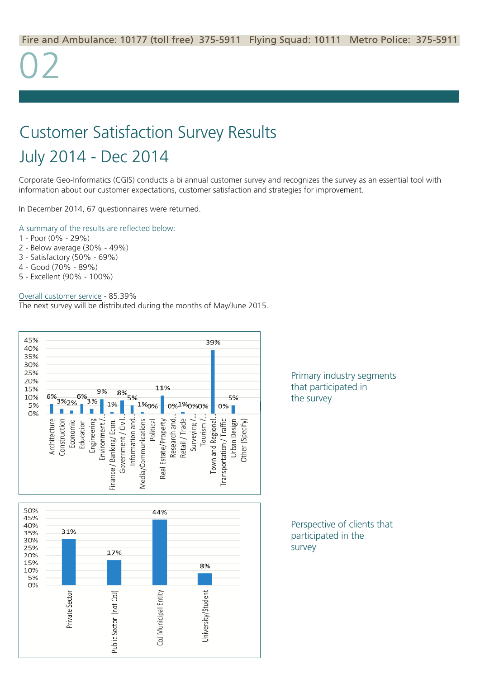Corporate Geo-Informatics (CGIS) conducts a bi annual customer survey and recognizes the survey as an essential tool with information about our customer expectations, customer satisfaction and strategies for improvement.

In December 2014, 67 questionnaires were returned.

### A summary of the results are reflected below:

- 1 Poor (0% 29%)
- 2 Below average (30% 49%)
- 3 Satisfactory (50% 69%)
- 4 Good (70% 89%)
- 5 Excellent (90% 100%)

#### Overall customer service - 85.39%

The next survey will be distributed during the months of May/June 2015.



### Customer Satisfaction Survey Results July 2014 - Dec 2014

Perspective of clients that participated in the survey

Primary industry segments that participated in the survey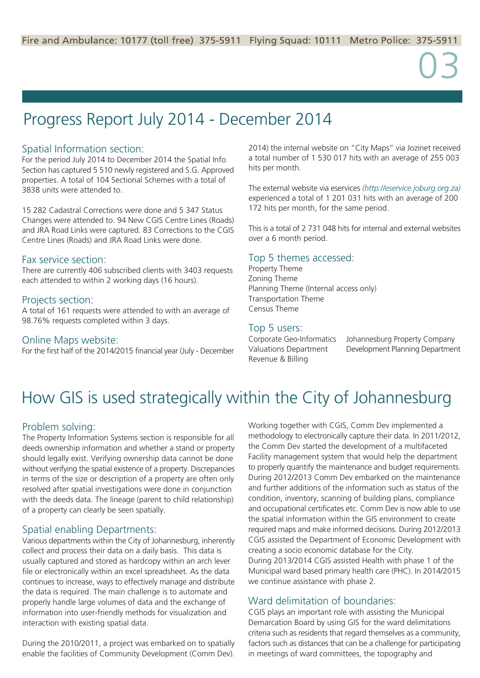### Spatial Information section:

For the period July 2014 to December 2014 the Spatial Info Section has captured 5 510 newly registered and S.G. Approved properties. A total of 104 Sectional Schemes with a total of 3838 units were attended to.

15 282 Cadastral Corrections were done and 5 347 Status Changes were attended to. 94 New CGIS Centre Lines (Roads) and JRA Road Links were captured. 83 Corrections to the CGIS Centre Lines (Roads) and JRA Road Links were done.

### Fax service section:

There are currently 406 subscribed clients with 3403 requests each attended to within 2 working days (16 hours).

### Projects section:

A total of 161 requests were attended to with an average of 98.76% requests completed within 3 days.

### Online Maps website:

For the first half of the 2014/2015 financial year (July - December

2014) the internal website on "City Maps" via Jozinet received a total number of 1 530 017 hits with an average of 255 003 hits per month.

The external website via eservices *(http://eservice.joburg.org.za)* experienced a total of 1 201 031 hits with an average of 200 172 hits per month, for the same period.

This is a total of 2 731 048 hits for internal and external websites over a 6 month period.

### Top 5 themes accessed:

Property Theme Zoning Theme Planning Theme (Internal access only) Transportation Theme Census Theme

### Top 5 users:

Corporate Geo-Informatics Johannesburg Property Company Valuations Department Development Planning Department

Revenue & Billing

### Progress Report July 2014 - December 2014

### How GIS is used strategically within the City of Johannesburg

### Problem solving:

The Property Information Systems section is responsible for all deeds ownership information and whether a stand or property should legally exist. Verifying ownership data cannot be done without verifying the spatial existence of a property. Discrepancies in terms of the size or description of a property are often only resolved after spatial investigations were done in conjunction with the deeds data. The lineage (parent to child relationship) of a property can clearly be seen spatially.

### Spatial enabling Departments:

Various departments within the City of Johannesburg, inherently collect and process their data on a daily basis. This data is usually captured and stored as hardcopy within an arch lever file or electronically within an excel spreadsheet. As the data continues to increase, ways to effectively manage and distribute the data is required. The main challenge is to automate and properly handle large volumes of data and the exchange of information into user-friendly methods for visualization and interaction with existing spatial data.

During the 2010/2011, a project was embarked on to spatially enable the facilities of Community Development (Comm Dev).

Working together with CGIS, Comm Dev implemented a methodology to electronically capture their data. In 2011/2012, the Comm Dev started the development of a multifaceted Facility management system that would help the department to properly quantify the maintenance and budget requirements. During 2012/2013 Comm Dev embarked on the maintenance and further additions of the information such as status of the condition, inventory, scanning of building plans, compliance and occupational certificates etc. Comm Dev is now able to use the spatial information within the GIS environment to create required maps and make informed decisions. During 2012/2013 CGIS assisted the Department of Economic Development with creating a socio economic database for the City. During 2013/2014 CGIS assisted Health with phase 1 of the Municipal ward based primary health care (PHC). In 2014/2015 we continue assistance with phase 2.

### Ward delimitation of boundaries:

CGIS plays an important role with assisting the Municipal Demarcation Board by using GIS for the ward delimitations criteria such as residents that regard themselves as a community, factors such as distances that can be a challenge for participating in meetings of ward committees, the topography and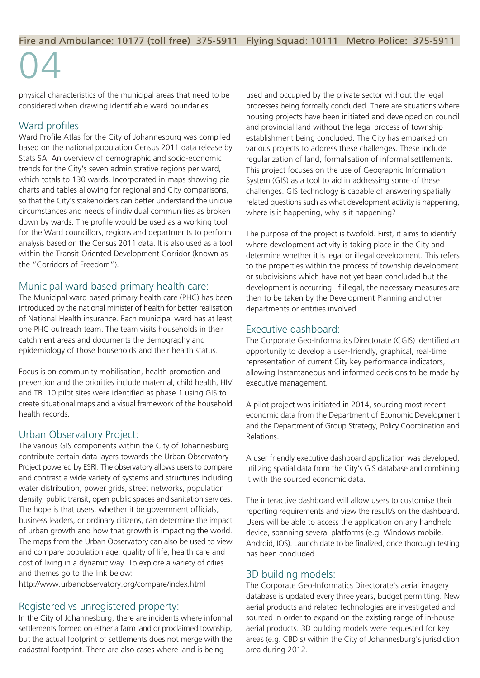physical characteristics of the municipal areas that need to be considered when drawing identifiable ward boundaries.

### Ward profiles

Ward Profile Atlas for the City of Johannesburg was compiled based on the national population Census 2011 data release by Stats SA. An overview of demographic and socio-economic trends for the City's seven administrative regions per ward, which totals to 130 wards. Incorporated in maps showing pie charts and tables allowing for regional and City comparisons, so that the City's stakeholders can better understand the unique circumstances and needs of individual communities as broken down by wards. The profile would be used as a working tool for the Ward councillors, regions and departments to perform analysis based on the Census 2011 data. It is also used as a tool within the Transit-Oriented Development Corridor (known as the "Corridors of Freedom").

### Municipal ward based primary health care:

The Municipal ward based primary health care (PHC) has been introduced by the national minister of health for better realisation of National Health insurance. Each municipal ward has at least one PHC outreach team. The team visits households in their catchment areas and documents the demography and epidemiology of those households and their health status.

Focus is on community mobilisation, health promotion and prevention and the priorities include maternal, child health, HIV and TB. 10 pilot sites were identified as phase 1 using GIS to create situational maps and a visual framework of the household health records.

### Urban Observatory Project:

The various GIS components within the City of Johannesburg contribute certain data layers towards the Urban Observatory Project powered by ESRI. The observatory allows users to compare and contrast a wide variety of systems and structures including water distribution, power grids, street networks, population density, public transit, open public spaces and sanitation services. The hope is that users, whether it be government officials, business leaders, or ordinary citizens, can determine the impact of urban growth and how that growth is impacting the world. The maps from the Urban Observatory can also be used to view and compare population age, quality of life, health care and cost of living in a dynamic way. To explore a variety of cities and themes go to the link below:

http://www.urbanobservatory.org/compare/index.html

### Registered vs unregistered property:

In the City of Johannesburg, there are incidents where informal settlements formed on either a farm land or proclaimed township, but the actual footprint of settlements does not merge with the cadastral footprint. There are also cases where land is being

used and occupied by the private sector without the legal processes being formally concluded. There are situations where housing projects have been initiated and developed on council and provincial land without the legal process of township establishment being concluded. The City has embarked on various projects to address these challenges. These include regularization of land, formalisation of informal settlements. This project focuses on the use of Geographic Information System (GIS) as a tool to aid in addressing some of these challenges. GIS technology is capable of answering spatially related questions such as what development activity is happening, where is it happening, why is it happening?

The purpose of the project is twofold. First, it aims to identify where development activity is taking place in the City and determine whether it is legal or illegal development. This refers to the properties within the process of township development or subdivisions which have not yet been concluded but the development is occurring. If illegal, the necessary measures are then to be taken by the Development Planning and other departments or entities involved.

### Executive dashboard:

The Corporate Geo-Informatics Directorate (CGIS) identified an opportunity to develop a user-friendly, graphical, real-time representation of current City key performance indicators, allowing Instantaneous and informed decisions to be made by executive management.

A pilot project was initiated in 2014, sourcing most recent economic data from the Department of Economic Development and the Department of Group Strategy, Policy Coordination and Relations.

A user friendly executive dashboard application was developed, utilizing spatial data from the City's GIS database and combining it with the sourced economic data.

The interactive dashboard will allow users to customise their reporting requirements and view the result/s on the dashboard. Users will be able to access the application on any handheld device, spanning several platforms (e.g. Windows mobile, Android, IOS). Launch date to be finalized, once thorough testing has been concluded.

### 3D building models:

The Corporate Geo-Informatics Directorate's aerial imagery database is updated every three years, budget permitting. New aerial products and related technologies are investigated and sourced in order to expand on the existing range of in-house aerial products. 3D building models were requested for key areas (e.g. CBD's) within the City of Johannesburg's jurisdiction area during 2012.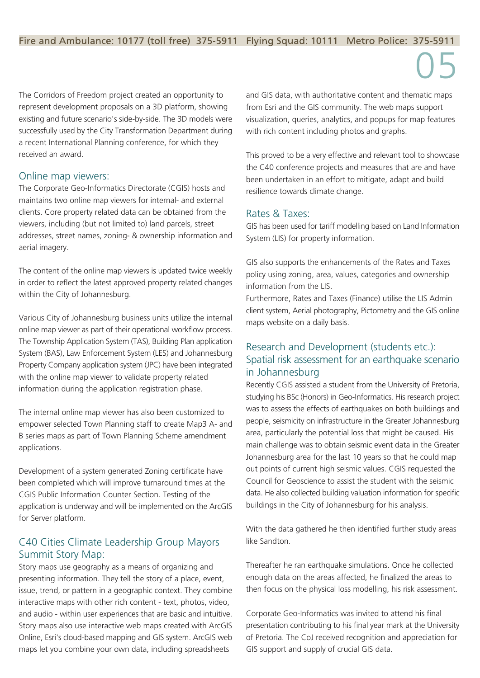### Fire and Ambulance: 10177 (toll free) 375-5911 Flying Squad: 10111 Metro Police: 375-5911

The Corridors of Freedom project created an opportunity to represent development proposals on a 3D platform, showing existing and future scenario's side-by-side. The 3D models were successfully used by the City Transformation Department during a recent International Planning conference, for which they received an award.

### Online map viewers:

The Corporate Geo-Informatics Directorate (CGIS) hosts and maintains two online map viewers for internal- and external clients. Core property related data can be obtained from the viewers, including (but not limited to) land parcels, street addresses, street names, zoning- & ownership information and aerial imagery.

The content of the online map viewers is updated twice weekly in order to reflect the latest approved property related changes within the City of Johannesburg.

Various City of Johannesburg business units utilize the internal online map viewer as part of their operational workflow process. The Township Application System (TAS), Building Plan application System (BAS), Law Enforcement System (LES) and Johannesburg Property Company application system (JPC) have been integrated with the online map viewer to validate property related information during the application registration phase.

The internal online map viewer has also been customized to empower selected Town Planning staff to create Map3 A- and B series maps as part of Town Planning Scheme amendment applications.

Development of a system generated Zoning certificate have been completed which will improve turnaround times at the CGIS Public Information Counter Section. Testing of the application is underway and will be implemented on the ArcGIS

for Server platform.

### C40 Cities Climate Leadership Group Mayors Summit Story Map:

Story maps use geography as a means of organizing and presenting information. They tell the story of a place, event, issue, trend, or pattern in a geographic context. They combine interactive maps with other rich content - text, photos, video, and audio - within user experiences that are basic and intuitive. Story maps also use interactive web maps created with ArcGIS Online, Esri's cloud-based mapping and GIS system. ArcGIS web maps let you combine your own data, including spreadsheets

and GIS data, with authoritative content and thematic maps from Esri and the GIS community. The web maps support visualization, queries, analytics, and popups for map features with rich content including photos and graphs.

This proved to be a very effective and relevant tool to showcase the C40 conference projects and measures that are and have been undertaken in an effort to mitigate, adapt and build resilience towards climate change.

### Rates & Taxes:

GIS has been used for tariff modelling based on Land Information System (LIS) for property information.

GIS also supports the enhancements of the Rates and Taxes policy using zoning, area, values, categories and ownership information from the LIS.

Furthermore, Rates and Taxes (Finance) utilise the LIS Admin client system, Aerial photography, Pictometry and the GIS online maps website on a daily basis.

### Research and Development (students etc.): Spatial risk assessment for an earthquake scenario in Johannesburg

Recently CGIS assisted a student from the University of Pretoria, studying his BSc (Honors) in Geo-Informatics. His research project was to assess the effects of earthquakes on both buildings and people, seismicity on infrastructure in the Greater Johannesburg area, particularly the potential loss that might be caused. His main challenge was to obtain seismic event data in the Greater Johannesburg area for the last 10 years so that he could map out points of current high seismic values. CGIS requested the Council for Geoscience to assist the student with the seismic data. He also collected building valuation information for specific buildings in the City of Johannesburg for his analysis.

With the data gathered he then identified further study areas like Sandton.

Thereafter he ran earthquake simulations. Once he collected enough data on the areas affected, he finalized the areas to then focus on the physical loss modelling, his risk assessment.

Corporate Geo-Informatics was invited to attend his final presentation contributing to his final year mark at the University of Pretoria. The CoJ received recognition and appreciation for GIS support and supply of crucial GIS data.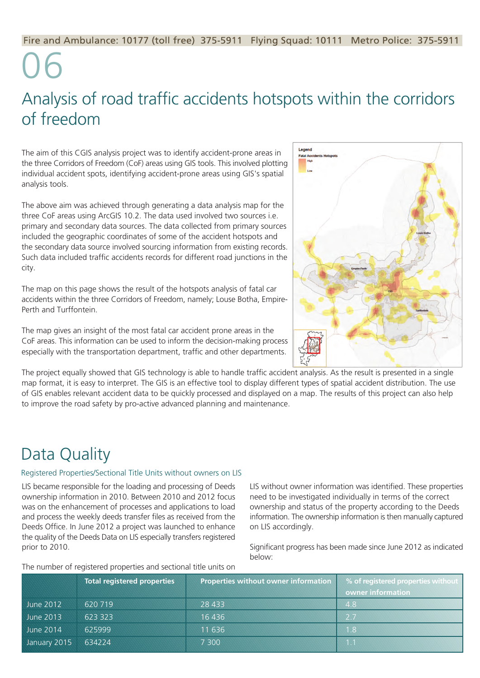The aim of this CGIS analysis project was to identify accident-prone areas in the three Corridors of Freedom (CoF) areas using GIS tools. This involved plotting individual accident spots, identifying accident-prone areas using GIS's spatial analysis tools.

The above aim was achieved through generating a data analysis map for the three CoF areas using ArcGIS 10.2. The data used involved two sources i.e. primary and secondary data sources. The data collected from primary sources included the geographic coordinates of some of the accident hotspots and the secondary data source involved sourcing information from existing records. Such data included traffic accidents records for different road junctions in the city.

The map on this page shows the result of the hotspots analysis of fatal car accidents within the three Corridors of Freedom, namely; Louse Botha, Empire-Perth and Turffontein.

The map gives an insight of the most fatal car accident prone areas in the CoF areas. This information can be used to inform the decision-making process especially with the transportation department, traffic and other departments.



The project equally showed that GIS technology is able to handle traffic accident analysis. As the result is presented in a single map format, it is easy to interpret. The GIS is an effective tool to display different types of spatial accident distribution. The use of GIS enables relevant accident data to be quickly processed and displayed on a map. The results of this project can also help to improve the road safety by pro-active advanced planning and maintenance.

### Analysis of road traffic accidents hotspots within the corridors of freedom

LIS became responsible for the loading and processing of Deeds ownership information in 2010. Between 2010 and 2012 focus was on the enhancement of processes and applications to load

and process the weekly deeds transfer files as received from the Deeds Office. In June 2012 a project was launched to enhance the quality of the Deeds Data on LIS especially transfers registered prior to 2010.

#### The number of registered properties and sectional title units on

LIS without owner information was identified. These properties need to be investigated individually in terms of the correct ownership and status of the property according to the Deeds information. The ownership information is then manually captured on LIS accordingly.

Significant progress has been made since June 2012 as indicated below:

### Data Quality

|                  | <b>Total registered properties</b> | Properties without owner information | % of registered properties without<br>owner information |
|------------------|------------------------------------|--------------------------------------|---------------------------------------------------------|
| <b>June 2012</b> | 620 719                            | 28 433                               | 4.8                                                     |
| June 2013        | 623 323                            | 16436                                | 2.7                                                     |
| <b>June 2014</b> | 625999                             | 11 636                               | $1.8^\circ$                                             |
| January 2015     | 634224                             | 7 300                                |                                                         |

### Registered Properties/Sectional Title Units without owners on LIS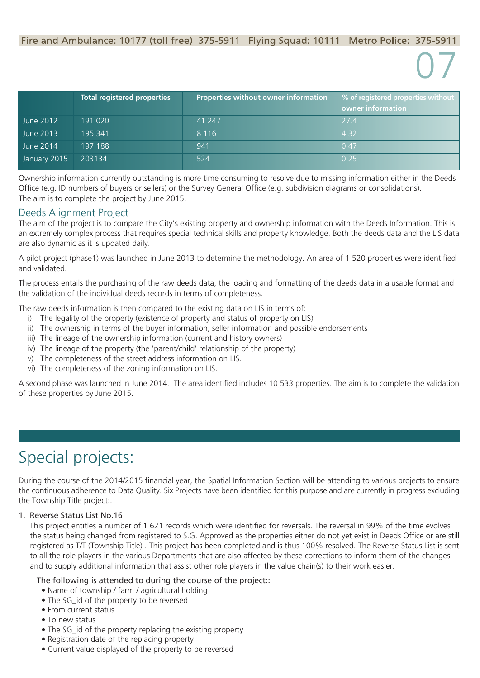## 07

Ownership information currently outstanding is more time consuming to resolve due to missing information either in the Deeds Office (e.g. ID numbers of buyers or sellers) or the Survey General Office (e.g. subdivision diagrams or consolidations). The aim is to complete the project by June 2015.

### Deeds Alignment Project

The aim of the project is to compare the City's existing property and ownership information with the Deeds Information. This is an extremely complex process that requires special technical skills and property knowledge. Both the deeds data and the LIS data are also dynamic as it is updated daily.

A pilot project (phase1) was launched in June 2013 to determine the methodology. An area of 1 520 properties were identified and validated.

The process entails the purchasing of the raw deeds data, the loading and formatting of the deeds data in a usable format and the validation of the individual deeds records in terms of completeness.

The raw deeds information is then compared to the existing data on LIS in terms of:

- i) The legality of the property (existence of property and status of property on LIS)
- ii) The ownership in terms of the buyer information, seller information and possible endorsements
- iii) The lineage of the ownership information (current and history owners)
- iv) The lineage of the property (the 'parent/child' relationship of the property)
- v) The completeness of the street address information on LIS.
- vi) The completeness of the zoning information on LIS.

- Name of township / farm / agricultural holding
- The SG id of the property to be reversed
- From current status
- To new status
- The SG id of the property replacing the existing property
- Registration date of the replacing property
- Current value displayed of the property to be reversed

A second phase was launched in June 2014. The area identified includes 10 533 properties. The aim is to complete the validation of these properties by June 2015.

During the course of the 2014/2015 financial year, the Spatial Information Section will be attending to various projects to ensure the continuous adherence to Data Quality. Six Projects have been identified for this purpose and are currently in progress excluding the Township Title project:.

#### 1. Reverse Status List No.16

 This project entitles a number of 1 621 records which were identified for reversals. The reversal in 99% of the time evolves the status being changed from registered to S.G. Approved as the properties either do not yet exist in Deeds Office or are still registered as T/T (Township Title) . This project has been completed and is thus 100% resolved. The Reverse Status List is sent to all the role players in the various Departments that are also affected by these corrections to inform them of the changes and to supply additional information that assist other role players in the value chain(s) to their work easier.

### The following is attended to during the course of the project::

### Special projects:

|              | <b>Total registered properties</b> | Properties without owner information | % of registered properties without<br>owner information |
|--------------|------------------------------------|--------------------------------------|---------------------------------------------------------|
| June 2012    | 191 020                            | 41 247                               | 27.4                                                    |
| June 2013    | 195 341                            | 8 1 1 6                              | 4.32                                                    |
| June 2014    | 197 188                            | 941                                  | 0.47                                                    |
| January 2015 | 203134                             | 524                                  | 0.25                                                    |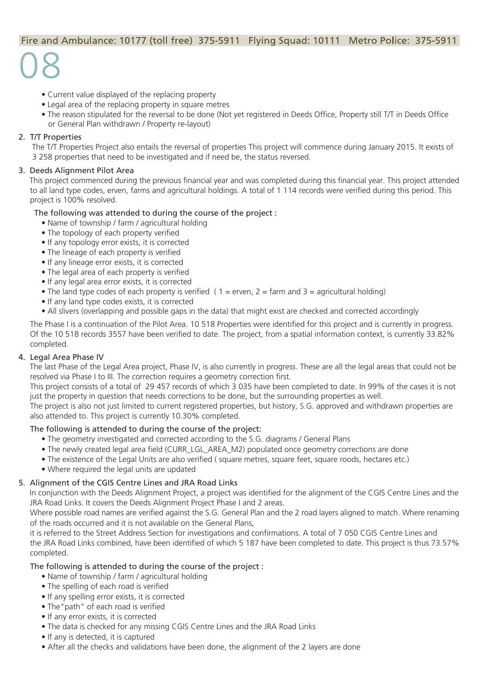## 08

- Current value displayed of the replacing property
- Legal area of the replacing property in square metres
- The reason stipulated for the reversal to be done (Not yet registered in Deeds Office, Property still T/T in Deeds Office or General Plan withdrawn / Property re-layout)

### 2. T/T Properties

 The T/T Properties Project also entails the reversal of properties This project will commence during January 2015. It exists of 3 258 properties that need to be investigated and if need be, the status reversed.

### 3. Deeds Alignment Pilot Area

 This project commenced during the previous financial year and was completed during this financial year. This project attended to all land type codes, erven, farms and agricultural holdings. A total of 1 114 records were verified during this period. This project is 100% resolved.

- Name of township / farm / agricultural holding
- The topology of each property verified
- If any topology error exists, it is corrected
- The lineage of each property is verified
- If any lineage error exists, it is corrected
- The legal area of each property is verified
- If any legal area error exists, it is corrected
- The land type codes of each property is verified  $(1 =$  erven,  $2 =$  farm and  $3 =$  agricultural holding)
- If any land type codes exists, it is corrected
- All slivers (overlapping and possible gaps in the data) that might exist are checked and corrected accordingly

### The following was attended to during the course of the project :

The Phase I is a continuation of the Pilot Area. 10 518 Properties were identified for this project and is currently in progress. Of the 10 518 records 3557 have been verified to date. The project, from a spatial information context, is currently 33.82% completed.

### 4. Legal Area Phase IV

 The last Phase of the Legal Area project, Phase IV, is also currently in progress. These are all the legal areas that could not be resolved via Phase I to III. The correction requires a geometry correction first.

- Name of township / farm / agricultural holding
- The spelling of each road is verified
- If any spelling error exists, it is corrected
- The"path" of each road is verified
- If any error exists, it is corrected
- The data is checked for any missing CGIS Centre Lines and the JRA Road Links
- If any is detected, it is captured
- After all the checks and validations have been done, the alignment of the 2 layers are done

This project consists of a total of 29 457 records of which 3 035 have been completed to date. In 99% of the cases it is not just the property in question that needs corrections to be done, but the surrounding properties as well.

The project is also not just limited to current registered properties, but history, S.G. approved and withdrawn properties are also attended to. This project is currently 10.30% completed.

### The following is attended to during the course of the project:

- The geometry investigated and corrected according to the S.G. diagrams / General Plans
- The newly created legal area field (CURR\_LGL\_AREA\_M2) populated once geometry corrections are done
- The existence of the Legal Units are also verified ( square metres, square feet, square roods, hectares etc.)
- Where required the legal units are updated

### 5. Alignment of the CGIS Centre Lines and JRA Road Links

 In conjunction with the Deeds Alignment Project, a project was identified for the alignment of the CGIS Centre Lines and the JRA Road Links. It covers the Deeds Alignment Project Phase I and 2 areas.

Where possible road names are verified against the S.G. General Plan and the 2 road layers aligned to match. Where renaming of the roads occurred and it is not available on the General Plans,

it is referred to the Street Address Section for investigations and confirmations. A total of 7 050 CGIS Centre Lines and the JRA Road Links combined, have been identified of which 5 187 have been completed to date. This project is thus 73.57% completed.

### The following is attended to during the course of the project :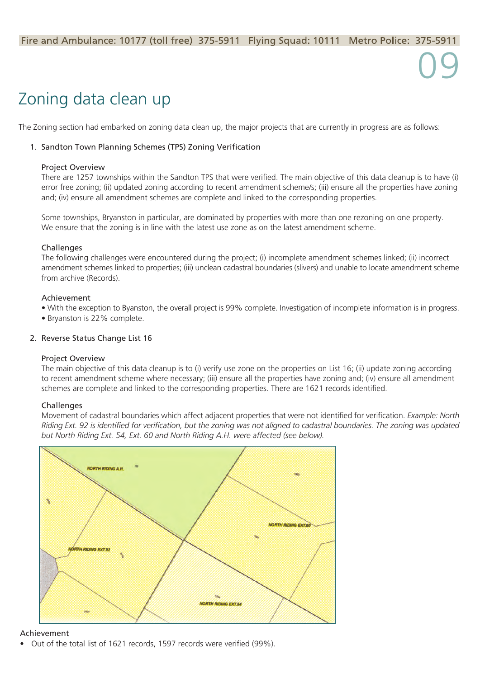Movement of cadastral boundaries which affect adjacent properties that were not identified for verification. *Example: North Riding Ext. 92 is identified for verification, but the zoning was not aligned to cadastral boundaries. The zoning was updated but North Riding Ext. 54, Ext. 60 and North Riding A.H. were affected (see below).*



### Zoning data clean up

The Zoning section had embarked on zoning data clean up, the major projects that are currently in progress are as follows:

### 1. Sandton Town Planning Schemes (TPS) Zoning Verification

#### Project Overview

There are 1257 townships within the Sandton TPS that were verified. The main objective of this data cleanup is to have (i) error free zoning; (ii) updated zoning according to recent amendment scheme/s; (iii) ensure all the properties have zoning and; (iv) ensure all amendment schemes are complete and linked to the corresponding properties.

Some townships, Bryanston in particular, are dominated by properties with more than one rezoning on one property. We ensure that the zoning is in line with the latest use zone as on the latest amendment scheme.

#### **Challenges**

The following challenges were encountered during the project; (i) incomplete amendment schemes linked; (ii) incorrect amendment schemes linked to properties; (iii) unclean cadastral boundaries (slivers) and unable to locate amendment scheme from archive (Records).

### Achievement

- With the exception to Byanston, the overall project is 99% complete. Investigation of incomplete information is in progress.
- Bryanston is 22% complete.

### 2. Reverse Status Change List 16

### Project Overview

The main objective of this data cleanup is to (i) verify use zone on the properties on List 16; (ii) update zoning according to recent amendment scheme where necessary; (iii) ensure all the properties have zoning and; (iv) ensure all amendment schemes are complete and linked to the corresponding properties. There are 1621 records identified.

### **Challenges**

#### Achievement

• Out of the total list of 1621 records, 1597 records were verified (99%).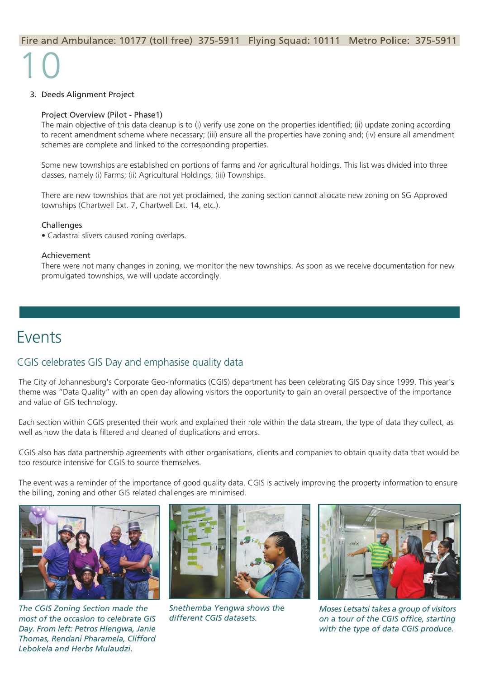## 10

### 3. Deeds Alignment Project

#### Project Overview (Pilot - Phase1)

The main objective of this data cleanup is to (i) verify use zone on the properties identified; (ii) update zoning according to recent amendment scheme where necessary; (iii) ensure all the properties have zoning and; (iv) ensure all amendment schemes are complete and linked to the corresponding properties.

Some new townships are established on portions of farms and /or agricultural holdings. This list was divided into three classes, namely (i) Farms; (ii) Agricultural Holdings; (iii) Townships.

There are new townships that are not yet proclaimed, the zoning section cannot allocate new zoning on SG Approved townships (Chartwell Ext. 7, Chartwell Ext. 14, etc.).

#### Challenges

• Cadastral slivers caused zoning overlaps.

#### Achievement

There were not many changes in zoning, we monitor the new townships. As soon as we receive documentation for new promulgated townships, we will update accordingly.

### Events

### CGIS celebrates GIS Day and emphasise quality data

The City of Johannesburg's Corporate Geo-Informatics (CGIS) department has been celebrating GIS Day since 1999. This year's theme was "Data Quality" with an open day allowing visitors the opportunity to gain an overall perspective of the importance and value of GIS technology.

Each section within CGIS presented their work and explained their role within the data stream, the type of data they collect, as well as how the data is filtered and cleaned of duplications and errors.

CGIS also has data partnership agreements with other organisations, clients and companies to obtain quality data that would be too resource intensive for CGIS to source themselves.

The event was a reminder of the importance of good quality data. CGIS is actively improving the property information to ensure the billing, zoning and other GIS related challenges are minimised.









*The CGIS Zoning Section made the most of the occasion to celebrate GIS Day. From left: Petros Hlengwa, Janie Thomas, Rendani Pharamela, Clifford Lebokela and Herbs Mulaudzi.*

*Snethemba Yengwa shows the different CGIS datasets.*

*Moses Letsatsi takes a group of visitors on a tour of the CGIS office, starting with the type of data CGIS produce.*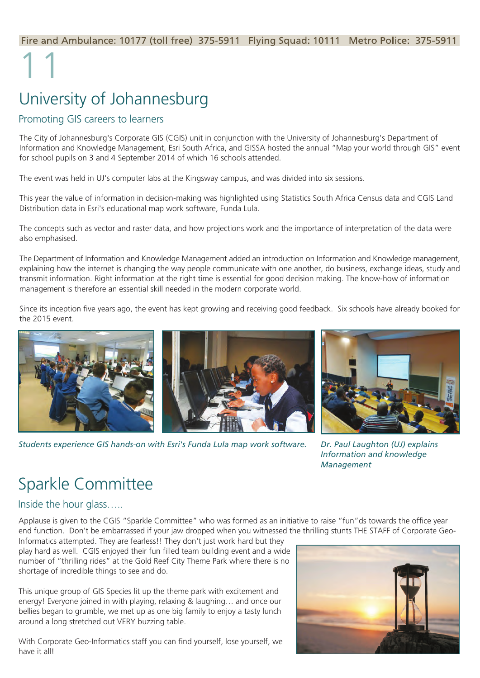### 11 University of Johannesburg

### Promoting GIS careers to learners

The City of Johannesburg's Corporate GIS (CGIS) unit in conjunction with the University of Johannesburg's Department of Information and Knowledge Management, Esri South Africa, and GISSA hosted the annual "Map your world through GIS" event for school pupils on 3 and 4 September 2014 of which 16 schools attended.

The event was held in UJ's computer labs at the Kingsway campus, and was divided into six sessions.

This year the value of information in decision-making was highlighted using Statistics South Africa Census data and CGIS Land Distribution data in Esri's educational map work software, Funda Lula.

The concepts such as vector and raster data, and how projections work and the importance of interpretation of the data were also emphasised.

The Department of Information and Knowledge Management added an introduction on Information and Knowledge management, explaining how the internet is changing the way people communicate with one another, do business, exchange ideas, study and transmit information. Right information at the right time is essential for good decision making. The know-how of information management is therefore an essential skill needed in the modern corporate world.

Since its inception five years ago, the event has kept growing and receiving good feedback. Six schools have already booked for the 2015 event.







*Information and knowledge Management*

Applause is given to the CGIS "Sparkle Committee" who was formed as an initiative to raise "fun"ds towards the office year end function. Don't be embarrassed if your jaw dropped when you witnessed the thrilling stunts THE STAFF of Corporate Geo-Informatics attempted. They are fearless!! They don't just work hard but they play hard as well. CGIS enjoyed their fun filled team building event and a wide number of "thrilling rides" at the Gold Reef City Theme Park where there is no shortage of incredible things to see and do.

This unique group of GIS Species lit up the theme park with excitement and energy! Everyone joined in with playing, relaxing & laughing… and once our bellies began to grumble, we met up as one big family to enjoy a tasty lunch around a long stretched out VERY buzzing table.

With Corporate Geo-Informatics staff you can find yourself, lose yourself, we have it all!



### Sparkle Committee

Inside the hour glass…..